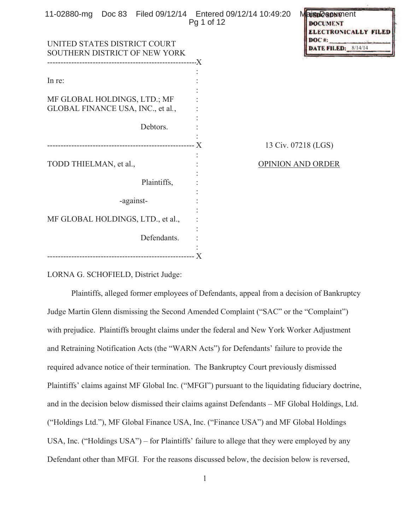| 11-02880-mg  Doc 83  Filed 09/12/14  Entered 09/12/14  10:49:20 | Pg 1 of 12 |                   | <b>MaisDOSONMent</b><br><b>DOCUMENT</b><br><b>ELECTRONICALLY FILE</b> |
|-----------------------------------------------------------------|------------|-------------------|-----------------------------------------------------------------------|
| UNITED STATES DISTRICT COURT                                    |            |                   | DOC#<br><b>DATE FILED: 8/14/14</b>                                    |
| SOUTHERN DISTRICT OF NEW YORK                                   |            |                   |                                                                       |
|                                                                 |            |                   |                                                                       |
|                                                                 |            |                   |                                                                       |
| In re:                                                          |            |                   |                                                                       |
|                                                                 |            |                   |                                                                       |
| MF GLOBAL HOLDINGS, LTD.; MF                                    |            |                   |                                                                       |
| GLOBAL FINANCE USA, INC., et al.,                               |            |                   |                                                                       |
|                                                                 |            |                   |                                                                       |
| Debtors.                                                        |            |                   |                                                                       |
|                                                                 |            |                   | 13 Civ. 07218 (LGS)                                                   |
| TODD THIELMAN, et al.,                                          |            | OPINION AND ORDER |                                                                       |
|                                                                 |            |                   |                                                                       |
| Plaintiffs,                                                     |            |                   |                                                                       |
|                                                                 |            |                   |                                                                       |
| -against-                                                       |            |                   |                                                                       |
|                                                                 |            |                   |                                                                       |
| MF GLOBAL HOLDINGS, LTD., et al.,                               |            |                   |                                                                       |
|                                                                 |            |                   |                                                                       |
| Defendants.                                                     |            |                   |                                                                       |
|                                                                 |            |                   |                                                                       |
|                                                                 |            |                   |                                                                       |

LORNA G. SCHOFIELD, District Judge:

Plaintiffs, alleged former employees of Defendants, appeal from a decision of Bankruptcy Judge Martin Glenn dismissing the Second Amended Complaint ("SAC" or the "Complaint") with prejudice. Plaintiffs brought claims under the federal and New York Worker Adjustment and Retraining Notification Acts (the "WARN Acts") for Defendants' failure to provide the required advance notice of their termination. The Bankruptcy Court previously dismissed Plaintiffs' claims against MF Global Inc. ("MFGI") pursuant to the liquidating fiduciary doctrine, and in the decision below dismissed their claims against Defendants – MF Global Holdings, Ltd. ("Holdings Ltd."), MF Global Finance USA, Inc. ("Finance USA") and MF Global Holdings USA, Inc. ("Holdings USA") – for Plaintiffs' failure to allege that they were employed by any Defendant other than MFGI. For the reasons discussed below, the decision below is reversed,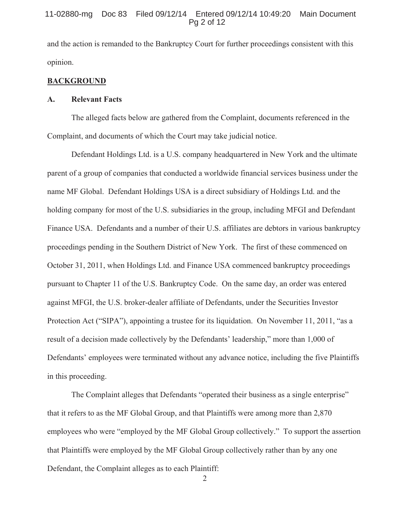# 11-02880-mg Doc 83 Filed 09/12/14 Entered 09/12/14 10:49:20 Main Document Pg 2 of 12

and the action is remanded to the Bankruptcy Court for further proceedings consistent with this opinion.

## **BACKGROUND**

#### **A. Relevant Facts**

The alleged facts below are gathered from the Complaint, documents referenced in the Complaint, and documents of which the Court may take judicial notice.

Defendant Holdings Ltd. is a U.S. company headquartered in New York and the ultimate parent of a group of companies that conducted a worldwide financial services business under the name MF Global. Defendant Holdings USA is a direct subsidiary of Holdings Ltd. and the holding company for most of the U.S. subsidiaries in the group, including MFGI and Defendant Finance USA. Defendants and a number of their U.S. affiliates are debtors in various bankruptcy proceedings pending in the Southern District of New York. The first of these commenced on October 31, 2011, when Holdings Ltd. and Finance USA commenced bankruptcy proceedings pursuant to Chapter 11 of the U.S. Bankruptcy Code. On the same day, an order was entered against MFGI, the U.S. broker-dealer affiliate of Defendants, under the Securities Investor Protection Act ("SIPA"), appointing a trustee for its liquidation. On November 11, 2011, "as a result of a decision made collectively by the Defendants' leadership," more than 1,000 of Defendants' employees were terminated without any advance notice, including the five Plaintiffs in this proceeding.

The Complaint alleges that Defendants "operated their business as a single enterprise" that it refers to as the MF Global Group, and that Plaintiffs were among more than 2,870 employees who were "employed by the MF Global Group collectively." To support the assertion that Plaintiffs were employed by the MF Global Group collectively rather than by any one Defendant, the Complaint alleges as to each Plaintiff: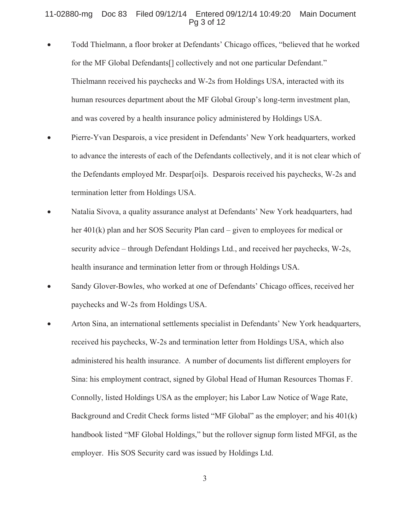# 11-02880-mg Doc 83 Filed 09/12/14 Entered 09/12/14 10:49:20 Main Document Pg 3 of 12

- x Todd Thielmann, a floor broker at Defendants' Chicago offices, "believed that he worked for the MF Global Defendants[] collectively and not one particular Defendant." Thielmann received his paychecks and W-2s from Holdings USA, interacted with its human resources department about the MF Global Group's long-term investment plan, and was covered by a health insurance policy administered by Holdings USA.
- Pierre-Yvan Desparois, a vice president in Defendants' New York headquarters, worked to advance the interests of each of the Defendants collectively, and it is not clear which of the Defendants employed Mr. Despar[oi]s. Desparois received his paychecks, W-2s and termination letter from Holdings USA.
- Natalia Sivova, a quality assurance analyst at Defendants' New York headquarters, had her 401(k) plan and her SOS Security Plan card – given to employees for medical or security advice – through Defendant Holdings Ltd., and received her paychecks, W-2s, health insurance and termination letter from or through Holdings USA.
- Sandy Glover-Bowles, who worked at one of Defendants' Chicago offices, received her paychecks and W-2s from Holdings USA.
- Arton Sina, an international settlements specialist in Defendants' New York headquarters, received his paychecks, W-2s and termination letter from Holdings USA, which also administered his health insurance. A number of documents list different employers for Sina: his employment contract, signed by Global Head of Human Resources Thomas F. Connolly, listed Holdings USA as the employer; his Labor Law Notice of Wage Rate, Background and Credit Check forms listed "MF Global" as the employer; and his 401(k) handbook listed "MF Global Holdings," but the rollover signup form listed MFGI, as the employer. His SOS Security card was issued by Holdings Ltd.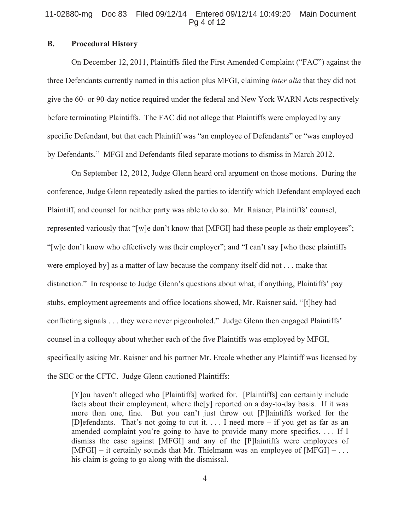#### 11-02880-mg Doc 83 Filed 09/12/14 Entered 09/12/14 10:49:20 Main Document Pg 4 of 12

# **B. Procedural History**

On December 12, 2011, Plaintiffs filed the First Amended Complaint ("FAC") against the three Defendants currently named in this action plus MFGI, claiming *inter alia* that they did not give the 60- or 90-day notice required under the federal and New York WARN Acts respectively before terminating Plaintiffs. The FAC did not allege that Plaintiffs were employed by any specific Defendant, but that each Plaintiff was "an employee of Defendants" or "was employed by Defendants." MFGI and Defendants filed separate motions to dismiss in March 2012.

On September 12, 2012, Judge Glenn heard oral argument on those motions. During the conference, Judge Glenn repeatedly asked the parties to identify which Defendant employed each Plaintiff, and counsel for neither party was able to do so. Mr. Raisner, Plaintiffs' counsel, represented variously that "[w]e don't know that [MFGI] had these people as their employees"; "[w]e don't know who effectively was their employer"; and "I can't say [who these plaintiffs were employed by] as a matter of law because the company itself did not . . . make that distinction." In response to Judge Glenn's questions about what, if anything, Plaintiffs' pay stubs, employment agreements and office locations showed, Mr. Raisner said, "[t]hey had conflicting signals . . . they were never pigeonholed." Judge Glenn then engaged Plaintiffs' counsel in a colloquy about whether each of the five Plaintiffs was employed by MFGI, specifically asking Mr. Raisner and his partner Mr. Ercole whether any Plaintiff was licensed by the SEC or the CFTC. Judge Glenn cautioned Plaintiffs:

[Y]ou haven't alleged who [Plaintiffs] worked for. [Plaintiffs] can certainly include facts about their employment, where the [y] reported on a day-to-day basis. If it was more than one, fine. But you can't just throw out [P]laintiffs worked for the [D]efendants. That's not going to cut it. . . . I need more – if you get as far as an amended complaint you're going to have to provide many more specifics. . . . If I dismiss the case against [MFGI] and any of the [P]laintiffs were employees of  $[MFGI] - it certainly sounds that Mr. Thielmann was an employee of  $[MFGI] - \ldots$$ his claim is going to go along with the dismissal.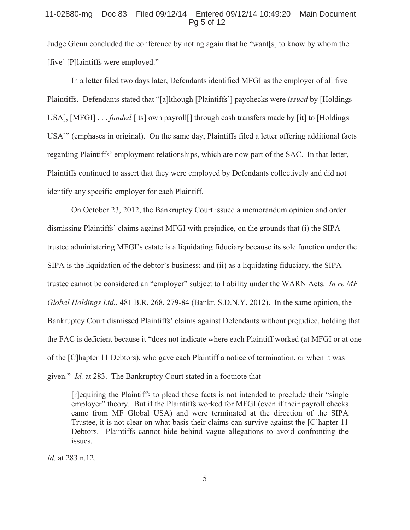## 11-02880-mg Doc 83 Filed 09/12/14 Entered 09/12/14 10:49:20 Main Document Pg 5 of 12

Judge Glenn concluded the conference by noting again that he "want[s] to know by whom the [five] [P]laintiffs were employed."

 In a letter filed two days later, Defendants identified MFGI as the employer of all five Plaintiffs. Defendants stated that "[a]lthough [Plaintiffs'] paychecks were *issued* by [Holdings USA], [MFGI] . . *funded* [its] own payroll[] through cash transfers made by [it] to [Holdings] USA]" (emphases in original). On the same day, Plaintiffs filed a letter offering additional facts regarding Plaintiffs' employment relationships, which are now part of the SAC. In that letter, Plaintiffs continued to assert that they were employed by Defendants collectively and did not identify any specific employer for each Plaintiff.

 On October 23, 2012, the Bankruptcy Court issued a memorandum opinion and order dismissing Plaintiffs' claims against MFGI with prejudice, on the grounds that (i) the SIPA trustee administering MFGI's estate is a liquidating fiduciary because its sole function under the SIPA is the liquidation of the debtor's business; and (ii) as a liquidating fiduciary, the SIPA trustee cannot be considered an "employer" subject to liability under the WARN Acts. *In re MF Global Holdings Ltd.*, 481 B.R. 268, 279-84 (Bankr. S.D.N.Y. 2012). In the same opinion, the Bankruptcy Court dismissed Plaintiffs' claims against Defendants without prejudice, holding that the FAC is deficient because it "does not indicate where each Plaintiff worked (at MFGI or at one of the [C]hapter 11 Debtors), who gave each Plaintiff a notice of termination, or when it was given." *Id.* at 283. The Bankruptcy Court stated in a footnote that

[r]equiring the Plaintiffs to plead these facts is not intended to preclude their "single employer" theory. But if the Plaintiffs worked for MFGI (even if their payroll checks came from MF Global USA) and were terminated at the direction of the SIPA Trustee, it is not clear on what basis their claims can survive against the [C]hapter 11 Debtors. Plaintiffs cannot hide behind vague allegations to avoid confronting the issues.

*Id.* at 283 n.12.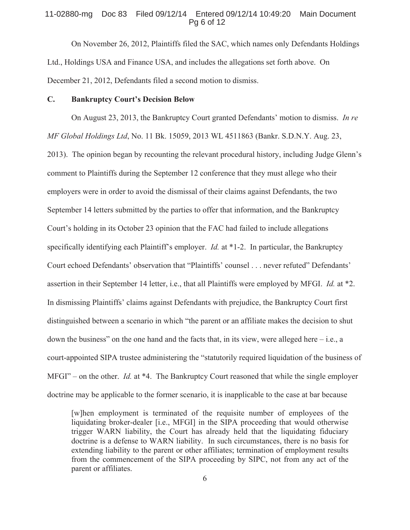# 11-02880-mg Doc 83 Filed 09/12/14 Entered 09/12/14 10:49:20 Main Document Pg 6 of 12

 On November 26, 2012, Plaintiffs filed the SAC, which names only Defendants Holdings Ltd., Holdings USA and Finance USA, and includes the allegations set forth above. On December 21, 2012, Defendants filed a second motion to dismiss.

# **C. Bankruptcy Court's Decision Below**

On August 23, 2013, the Bankruptcy Court granted Defendants' motion to dismiss. *In re MF Global Holdings Ltd*, No. 11 Bk. 15059, 2013 WL 4511863 (Bankr. S.D.N.Y. Aug. 23, 2013). The opinion began by recounting the relevant procedural history, including Judge Glenn's comment to Plaintiffs during the September 12 conference that they must allege who their employers were in order to avoid the dismissal of their claims against Defendants, the two September 14 letters submitted by the parties to offer that information, and the Bankruptcy Court's holding in its October 23 opinion that the FAC had failed to include allegations specifically identifying each Plaintiff's employer. *Id.* at \*1-2. In particular, the Bankruptcy Court echoed Defendants' observation that "Plaintiffs' counsel . . . never refuted" Defendants' assertion in their September 14 letter, i.e., that all Plaintiffs were employed by MFGI. *Id.* at \*2. In dismissing Plaintiffs' claims against Defendants with prejudice, the Bankruptcy Court first distinguished between a scenario in which "the parent or an affiliate makes the decision to shut down the business" on the one hand and the facts that, in its view, were alleged here  $-i.e., a$ court-appointed SIPA trustee administering the "statutorily required liquidation of the business of MFGI" – on the other. *Id.* at \*4. The Bankruptcy Court reasoned that while the single employer doctrine may be applicable to the former scenario, it is inapplicable to the case at bar because

[w]hen employment is terminated of the requisite number of employees of the liquidating broker-dealer [i.e., MFGI] in the SIPA proceeding that would otherwise trigger WARN liability, the Court has already held that the liquidating fiduciary doctrine is a defense to WARN liability. In such circumstances, there is no basis for extending liability to the parent or other affiliates; termination of employment results from the commencement of the SIPA proceeding by SIPC, not from any act of the parent or affiliates.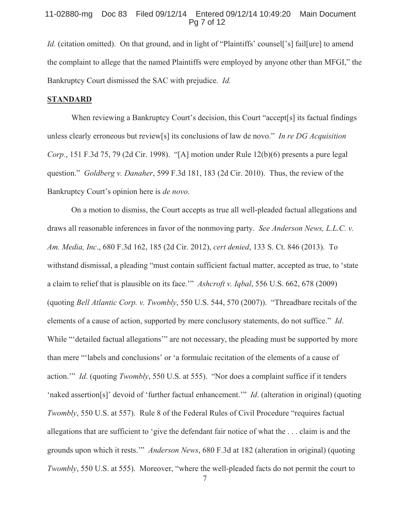### 11-02880-mg Doc 83 Filed 09/12/14 Entered 09/12/14 10:49:20 Main Document Pg 7 of 12

*Id.* (citation omitted). On that ground, and in light of "Plaintiffs' counsel['s] fail[ure] to amend the complaint to allege that the named Plaintiffs were employed by anyone other than MFGI," the Bankruptcy Court dismissed the SAC with prejudice. *Id.*

# **STANDARD**

When reviewing a Bankruptcy Court's decision, this Court "accept<sup>[s]</sup> its factual findings unless clearly erroneous but review[s] its conclusions of law de novo." *In re DG Acquisition Corp.*, 151 F.3d 75, 79 (2d Cir. 1998). "[A] motion under Rule 12(b)(6) presents a pure legal question." *Goldberg v. Danaher*, 599 F.3d 181, 183 (2d Cir. 2010). Thus, the review of the Bankruptcy Court's opinion here is *de novo*.

On a motion to dismiss, the Court accepts as true all well-pleaded factual allegations and draws all reasonable inferences in favor of the nonmoving party. *See Anderson News, L.L.C. v. Am. Media, Inc*., 680 F.3d 162, 185 (2d Cir. 2012), *cert denied*, 133 S. Ct. 846 (2013). To withstand dismissal, a pleading "must contain sufficient factual matter, accepted as true, to 'state a claim to relief that is plausible on its face.'" *Ashcroft v. Iqbal*, 556 U.S. 662, 678 (2009) (quoting *Bell Atlantic Corp. v. Twombly*, 550 U.S. 544, 570 (2007)). "Threadbare recitals of the elements of a cause of action, supported by mere conclusory statements, do not suffice." *Id*. While "'detailed factual allegations'" are not necessary, the pleading must be supported by more than mere "'labels and conclusions' or 'a formulaic recitation of the elements of a cause of action.'" *Id*. (quoting *Twombly*, 550 U.S. at 555). "Nor does a complaint suffice if it tenders 'naked assertion[s]' devoid of 'further factual enhancement.'" *Id*. (alteration in original) (quoting *Twombly*, 550 U.S. at 557). Rule 8 of the Federal Rules of Civil Procedure "requires factual allegations that are sufficient to 'give the defendant fair notice of what the . . . claim is and the grounds upon which it rests.'" *Anderson News*, 680 F.3d at 182 (alteration in original) (quoting *Twombly*, 550 U.S. at 555). Moreover, "where the well-pleaded facts do not permit the court to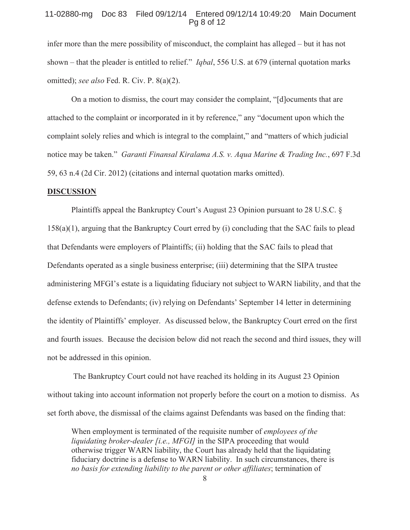#### 11-02880-mg Doc 83 Filed 09/12/14 Entered 09/12/14 10:49:20 Main Document Pg 8 of 12

infer more than the mere possibility of misconduct, the complaint has alleged – but it has not shown – that the pleader is entitled to relief." *Iqbal*, 556 U.S. at 679 (internal quotation marks omitted); *see also* Fed. R. Civ. P. 8(a)(2).

On a motion to dismiss, the court may consider the complaint, "[d]ocuments that are attached to the complaint or incorporated in it by reference," any "document upon which the complaint solely relies and which is integral to the complaint," and "matters of which judicial notice may be taken." *Garanti Finansal Kiralama A.S. v. Aqua Marine & Trading Inc.*, 697 F.3d 59, 63 n.4 (2d Cir. 2012) (citations and internal quotation marks omitted).

# **DISCUSSION**

 Plaintiffs appeal the Bankruptcy Court's August 23 Opinion pursuant to 28 U.S.C. § 158(a)(1), arguing that the Bankruptcy Court erred by (i) concluding that the SAC fails to plead that Defendants were employers of Plaintiffs; (ii) holding that the SAC fails to plead that Defendants operated as a single business enterprise; (iii) determining that the SIPA trustee administering MFGI's estate is a liquidating fiduciary not subject to WARN liability, and that the defense extends to Defendants; (iv) relying on Defendants' September 14 letter in determining the identity of Plaintiffs' employer. As discussed below, the Bankruptcy Court erred on the first and fourth issues. Because the decision below did not reach the second and third issues, they will not be addressed in this opinion.

 The Bankruptcy Court could not have reached its holding in its August 23 Opinion without taking into account information not properly before the court on a motion to dismiss. As set forth above, the dismissal of the claims against Defendants was based on the finding that:

When employment is terminated of the requisite number of *employees of the liquidating broker-dealer [i.e., MFGI]* in the SIPA proceeding that would otherwise trigger WARN liability, the Court has already held that the liquidating fiduciary doctrine is a defense to WARN liability. In such circumstances, there is *no basis for extending liability to the parent or other affiliates*; termination of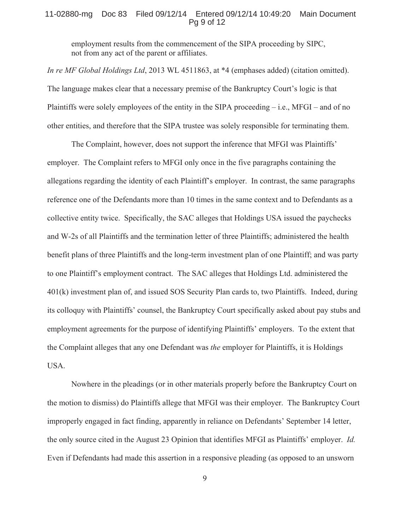#### 11-02880-mg Doc 83 Filed 09/12/14 Entered 09/12/14 10:49:20 Main Document Pg 9 of 12

employment results from the commencement of the SIPA proceeding by SIPC, not from any act of the parent or affiliates.

*In re MF Global Holdings Ltd*, 2013 WL 4511863, at \*4 (emphases added) (citation omitted). The language makes clear that a necessary premise of the Bankruptcy Court's logic is that Plaintiffs were solely employees of the entity in the SIPA proceeding  $-$  i.e., MFGI – and of no other entities, and therefore that the SIPA trustee was solely responsible for terminating them.

The Complaint, however, does not support the inference that MFGI was Plaintiffs' employer. The Complaint refers to MFGI only once in the five paragraphs containing the allegations regarding the identity of each Plaintiff's employer. In contrast, the same paragraphs reference one of the Defendants more than 10 times in the same context and to Defendants as a collective entity twice. Specifically, the SAC alleges that Holdings USA issued the paychecks and W-2s of all Plaintiffs and the termination letter of three Plaintiffs; administered the health benefit plans of three Plaintiffs and the long-term investment plan of one Plaintiff; and was party to one Plaintiff's employment contract. The SAC alleges that Holdings Ltd. administered the 401(k) investment plan of, and issued SOS Security Plan cards to, two Plaintiffs. Indeed, during its colloquy with Plaintiffs' counsel, the Bankruptcy Court specifically asked about pay stubs and employment agreements for the purpose of identifying Plaintiffs' employers. To the extent that the Complaint alleges that any one Defendant was *the* employer for Plaintiffs, it is Holdings USA.

Nowhere in the pleadings (or in other materials properly before the Bankruptcy Court on the motion to dismiss) do Plaintiffs allege that MFGI was their employer. The Bankruptcy Court improperly engaged in fact finding, apparently in reliance on Defendants' September 14 letter, the only source cited in the August 23 Opinion that identifies MFGI as Plaintiffs' employer. *Id.* Even if Defendants had made this assertion in a responsive pleading (as opposed to an unsworn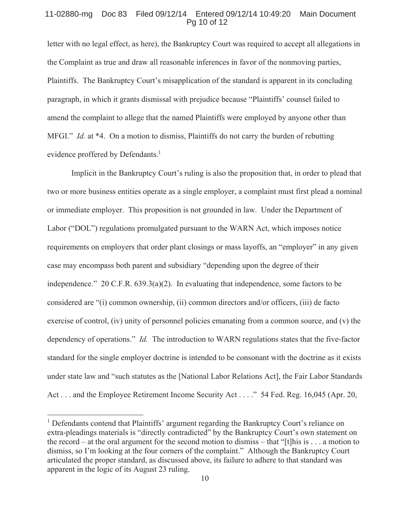#### 11-02880-mg Doc 83 Filed 09/12/14 Entered 09/12/14 10:49:20 Main Document Pg 10 of 12

letter with no legal effect, as here), the Bankruptcy Court was required to accept all allegations in the Complaint as true and draw all reasonable inferences in favor of the nonmoving parties, Plaintiffs. The Bankruptcy Court's misapplication of the standard is apparent in its concluding paragraph, in which it grants dismissal with prejudice because "Plaintiffs' counsel failed to amend the complaint to allege that the named Plaintiffs were employed by anyone other than MFGI." *Id.* at \*4. On a motion to dismiss, Plaintiffs do not carry the burden of rebutting evidence proffered by Defendants.<sup>1</sup>

 Implicit in the Bankruptcy Court's ruling is also the proposition that, in order to plead that two or more business entities operate as a single employer, a complaint must first plead a nominal or immediate employer. This proposition is not grounded in law. Under the Department of Labor ("DOL") regulations promulgated pursuant to the WARN Act, which imposes notice requirements on employers that order plant closings or mass layoffs, an "employer" in any given case may encompass both parent and subsidiary "depending upon the degree of their independence." 20 C.F.R. 639.3(a)(2). In evaluating that independence, some factors to be considered are "(i) common ownership, (ii) common directors and/or officers, (iii) de facto exercise of control, (iv) unity of personnel policies emanating from a common source, and (v) the dependency of operations." *Id.* The introduction to WARN regulations states that the five-factor standard for the single employer doctrine is intended to be consonant with the doctrine as it exists under state law and "such statutes as the [National Labor Relations Act], the Fair Labor Standards Act . . . and the Employee Retirement Income Security Act . . . ." 54 Fed. Reg. 16,045 (Apr. 20,

 $\overline{a}$ 

<sup>&</sup>lt;sup>1</sup> Defendants contend that Plaintiffs' argument regarding the Bankruptcy Court's reliance on extra-pleadings materials is "directly contradicted" by the Bankruptcy Court's own statement on the record – at the oral argument for the second motion to dismiss – that "[t]his is . . . a motion to dismiss, so I'm looking at the four corners of the complaint." Although the Bankruptcy Court articulated the proper standard, as discussed above, its failure to adhere to that standard was apparent in the logic of its August 23 ruling.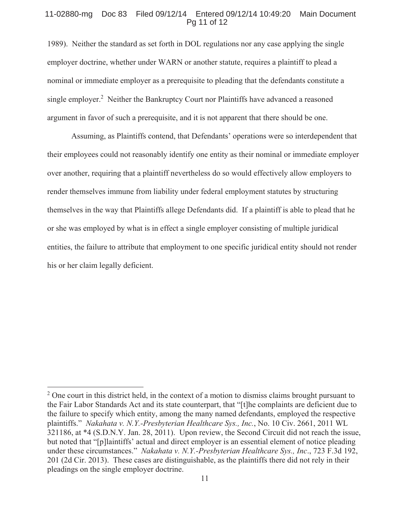#### 11-02880-mg Doc 83 Filed 09/12/14 Entered 09/12/14 10:49:20 Main Document Pg 11 of 12

1989). Neither the standard as set forth in DOL regulations nor any case applying the single employer doctrine, whether under WARN or another statute, requires a plaintiff to plead a nominal or immediate employer as a prerequisite to pleading that the defendants constitute a single employer.<sup>2</sup> Neither the Bankruptcy Court nor Plaintiffs have advanced a reasoned argument in favor of such a prerequisite, and it is not apparent that there should be one.

Assuming, as Plaintiffs contend, that Defendants' operations were so interdependent that their employees could not reasonably identify one entity as their nominal or immediate employer over another, requiring that a plaintiff nevertheless do so would effectively allow employers to render themselves immune from liability under federal employment statutes by structuring themselves in the way that Plaintiffs allege Defendants did. If a plaintiff is able to plead that he or she was employed by what is in effect a single employer consisting of multiple juridical entities, the failure to attribute that employment to one specific juridical entity should not render his or her claim legally deficient.

 $\overline{a}$ 

 $2$  One court in this district held, in the context of a motion to dismiss claims brought pursuant to the Fair Labor Standards Act and its state counterpart, that "[t]he complaints are deficient due to the failure to specify which entity, among the many named defendants, employed the respective plaintiffs." *Nakahata v. N.Y.-Presbyterian Healthcare Sys., Inc.*, No. 10 Civ. 2661, 2011 WL 321186, at \*4 (S.D.N.Y. Jan. 28, 2011). Upon review, the Second Circuit did not reach the issue, but noted that "[p]laintiffs' actual and direct employer is an essential element of notice pleading under these circumstances." *Nakahata v. N.Y.-Presbyterian Healthcare Sys., Inc*., 723 F.3d 192, 201 (2d Cir. 2013). These cases are distinguishable, as the plaintiffs there did not rely in their pleadings on the single employer doctrine.